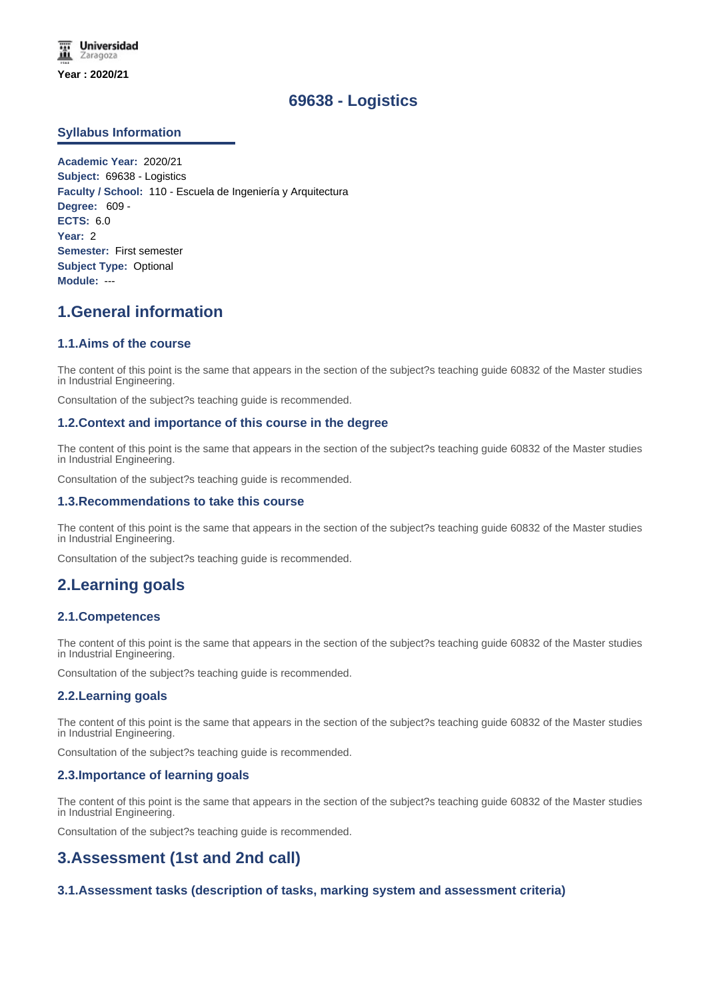# **69638 - Logistics**

# **Syllabus Information**

**Academic Year:** 2020/21 **Subject:** 69638 - Logistics **Faculty / School:** 110 - Escuela de Ingeniería y Arquitectura **Degree:** 609 - **ECTS:** 6.0 **Year:** 2 **Semester:** First semester **Subject Type:** Optional **Module:** ---

# **1.General information**

# **1.1.Aims of the course**

The content of this point is the same that appears in the section of the subject?s teaching guide 60832 of the Master studies in Industrial Engineering.

Consultation of the subject?s teaching guide is recommended.

## **1.2.Context and importance of this course in the degree**

The content of this point is the same that appears in the section of the subject?s teaching guide 60832 of the Master studies in Industrial Engineering.

Consultation of the subject?s teaching guide is recommended.

#### **1.3.Recommendations to take this course**

The content of this point is the same that appears in the section of the subject?s teaching guide 60832 of the Master studies in Industrial Engineering.

Consultation of the subject?s teaching guide is recommended.

# **2.Learning goals**

## **2.1.Competences**

The content of this point is the same that appears in the section of the subject?s teaching guide 60832 of the Master studies in Industrial Engineering.

Consultation of the subject?s teaching guide is recommended.

## **2.2.Learning goals**

The content of this point is the same that appears in the section of the subject?s teaching guide 60832 of the Master studies in Industrial Engineering.

Consultation of the subject?s teaching guide is recommended.

#### **2.3.Importance of learning goals**

The content of this point is the same that appears in the section of the subject?s teaching guide 60832 of the Master studies in Industrial Engineering.

Consultation of the subject?s teaching guide is recommended.

# **3.Assessment (1st and 2nd call)**

## **3.1.Assessment tasks (description of tasks, marking system and assessment criteria)**